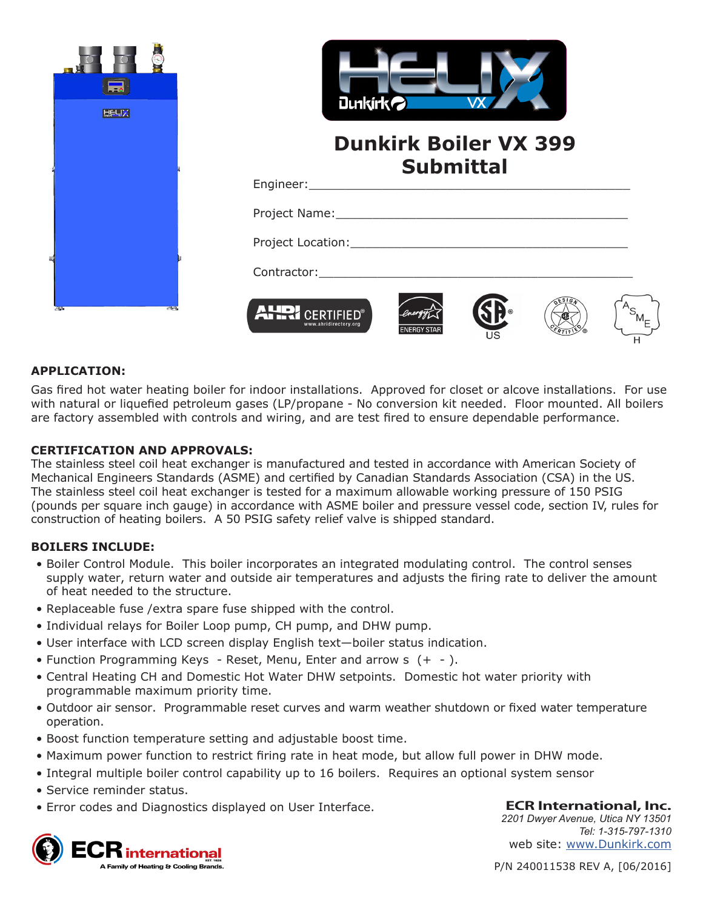

### **APPLICATION:**

Gas fired hot water heating boiler for indoor installations. Approved for closet or alcove installations. For use with natural or liquefied petroleum gases (LP/propane - No conversion kit needed. Floor mounted. All boilers are factory assembled with controls and wiring, and are test fired to ensure dependable performance.

### **CERTIFICATION AND APPROVALS:**

The stainless steel coil heat exchanger is manufactured and tested in accordance with American Society of Mechanical Engineers Standards (ASME) and certified by Canadian Standards Association (CSA) in the US. The stainless steel coil heat exchanger is tested for a maximum allowable working pressure of 150 PSIG (pounds per square inch gauge) in accordance with ASME boiler and pressure vessel code, section IV, rules for construction of heating boilers. A 50 PSIG safety relief valve is shipped standard.

#### **BOILERS INCLUDE:**

- Boiler Control Module. This boiler incorporates an integrated modulating control. The control senses supply water, return water and outside air temperatures and adjusts the firing rate to deliver the amount of heat needed to the structure.
- Replaceable fuse /extra spare fuse shipped with the control.
- Individual relays for Boiler Loop pump, CH pump, and DHW pump.
- User interface with LCD screen display English text—boiler status indication.
- Function Programming Keys Reset, Menu, Enter and arrow s (+ ).
- Central Heating CH and Domestic Hot Water DHW setpoints. Domestic hot water priority with programmable maximum priority time.
- Outdoor air sensor. Programmable reset curves and warm weather shutdown or fixed water temperature operation.
- Boost function temperature setting and adjustable boost time.
- Maximum power function to restrict firing rate in heat mode, but allow full power in DHW mode.
- Integral multiple boiler control capability up to 16 boilers. Requires an optional system sensor
- Service reminder status.
- Error codes and Diagnostics displayed on User Interface.



**ECR International, Inc.** *2201 Dwyer Avenue, Utica NY 13501 Tel: 1-315-797-1310* web site: www.Dunkirk.com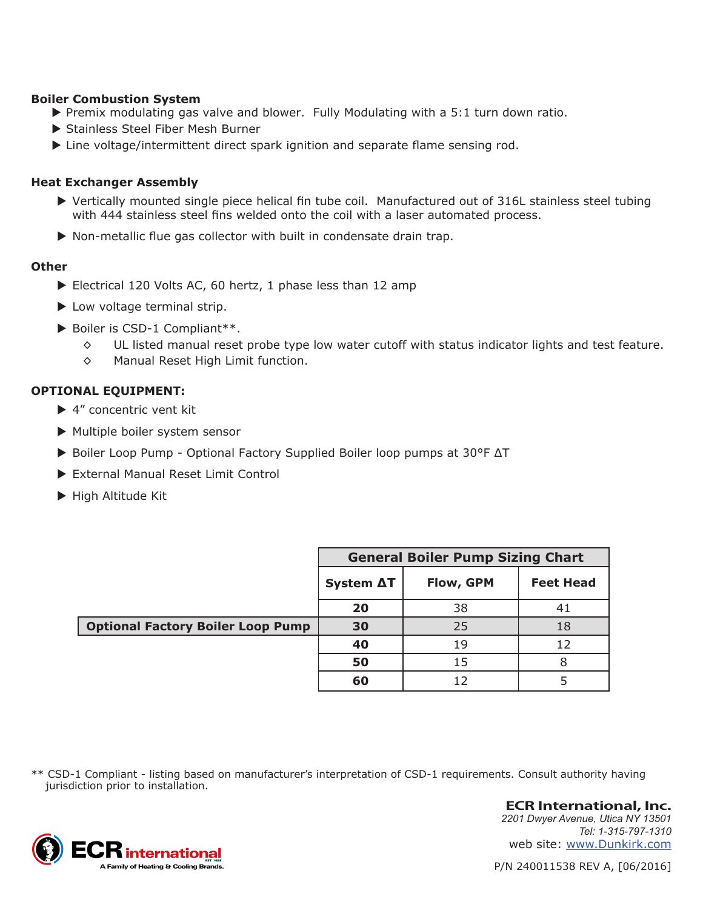#### **Boiler Combustion System**

- $\blacktriangleright$  Premix modulating gas valve and blower. Fully Modulating with a 5:1 turn down ratio.
- ▶ Stainless Steel Fiber Mesh Burner
- $\blacktriangleright$  Line voltage/intermittent direct spark ignition and separate flame sensing rod.

### **Heat Exchanger Assembly**

- $\triangleright$  Vertically mounted single piece helical fin tube coil. Manufactured out of 316L stainless steel tubing with 444 stainless steel fins welded onto the coil with a laser automated process.
- $\triangleright$  Non-metallic flue gas collector with built in condensate drain trap.

#### **Other**

- $\blacktriangleright$  Electrical 120 Volts AC, 60 hertz, 1 phase less than 12 amp
- $\blacktriangleright$  Low voltage terminal strip.
- $\blacktriangleright$  Boiler is CSD-1 Compliant\*\*.
	- ◊ UL listed manual reset probe type low water cutoff with status indicator lights and test feature.
	- ◊ Manual Reset High Limit function.

### **OPTIONAL EQUIPMENT:**

- $\blacktriangleright$  4" concentric vent kit
- $\blacktriangleright$  Multiple boiler system sensor
- ► Boiler Loop Pump Optional Factory Supplied Boiler loop pumps at 30°F AT
- External Manual Reset Limit Control
- $\blacktriangleright$  High Altitude Kit

|                                          | <b>General Boiler Pump Sizing Chart</b> |           |                  |
|------------------------------------------|-----------------------------------------|-----------|------------------|
|                                          | System ∆T                               | Flow, GPM | <b>Feet Head</b> |
|                                          | 20                                      | 38        |                  |
| <b>Optional Factory Boiler Loop Pump</b> | 30                                      | 25        | 18               |
|                                          | 40                                      | 19        | 12               |
|                                          | 50                                      | 15        | 8                |
|                                          | 60                                      | 12        |                  |

\*\* CSD-1 Compliant - listing based on manufacturer's interpretation of CSD-1 requirements. Consult authority having jurisdiction prior to installation.



**ECR International, Inc.** *2201 Dwyer Avenue, Utica NY 13501 Tel: 1-315-797-1310* web site: www.Dunkirk.com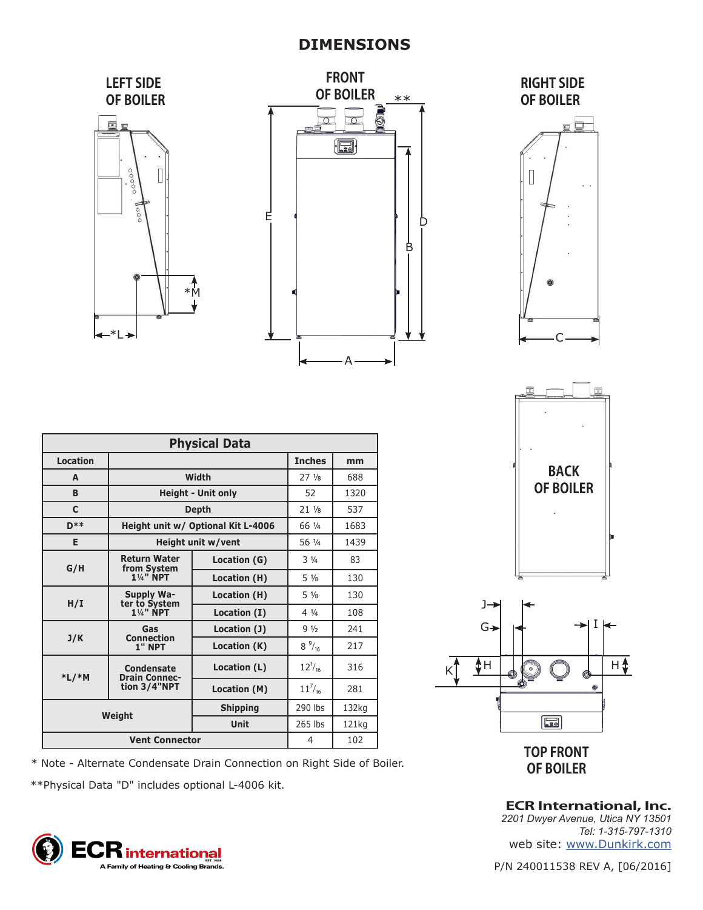# **DIMENSIONS**



**TOP FRONT** 

 $\boxed{\Xi}$ 

 $\circ$ 

**BACK OF BOILER**

C

 $\Box$ 

**ECR International, Inc.** *2201 Dwyer Avenue, Utica NY 13501 Tel: 1-315-797-1310* web site: www.Dunkirk.com

I

Æ

 $H$  $\triangle$ 

**OF BOILER** \* Note - Alternate Condensate Drain Connection on Right Side of Boiler.

\*\*Physical Data "D" includes optional L-4006 kit.

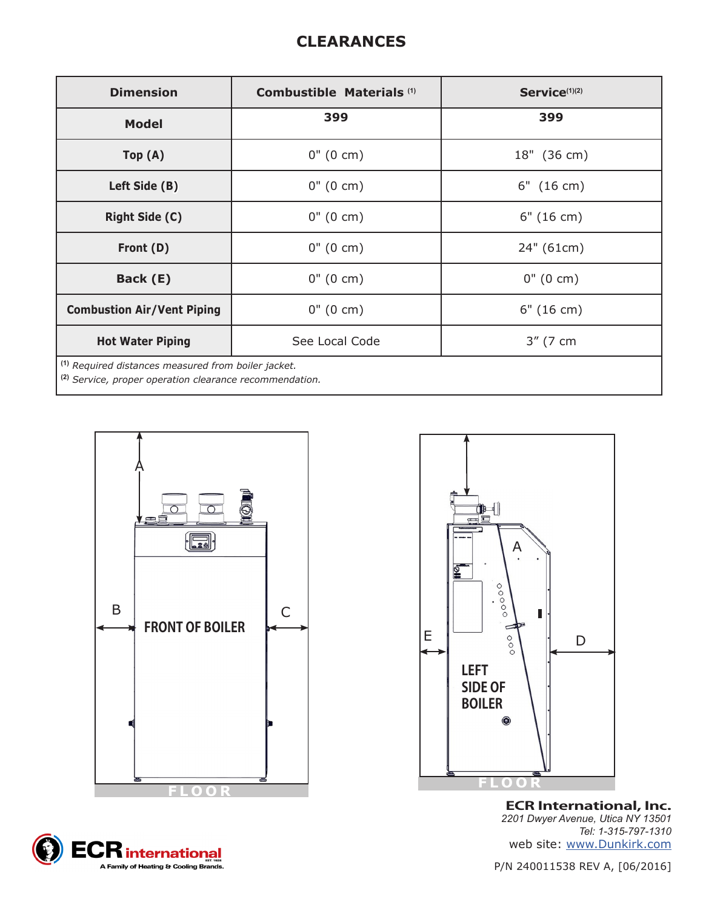# **CLEARANCES**

| <b>Dimension</b>                                                                                                                                                                                                                                                                                                                                                                                                                   | Combustible Materials <sup>(1)</sup> | Service <sup>(1)(2)</sup> |
|------------------------------------------------------------------------------------------------------------------------------------------------------------------------------------------------------------------------------------------------------------------------------------------------------------------------------------------------------------------------------------------------------------------------------------|--------------------------------------|---------------------------|
| <b>Model</b>                                                                                                                                                                                                                                                                                                                                                                                                                       | 399                                  | 399                       |
| Top(A)                                                                                                                                                                                                                                                                                                                                                                                                                             | $0''(0 \text{ cm})$                  | 18" (36 cm)               |
| Left Side (B)                                                                                                                                                                                                                                                                                                                                                                                                                      | $0''(0 \text{ cm})$                  | $6"$ (16 cm)              |
| <b>Right Side (C)</b>                                                                                                                                                                                                                                                                                                                                                                                                              | $0''(0 \text{ cm})$                  | 6" (16 cm)                |
| Front (D)                                                                                                                                                                                                                                                                                                                                                                                                                          | $0''(0 \text{ cm})$                  | 24" (61cm)                |
| Back (E)                                                                                                                                                                                                                                                                                                                                                                                                                           | $0''(0 \text{ cm})$                  | $0''(0 \text{ cm})$       |
| <b>Combustion Air/Vent Piping</b>                                                                                                                                                                                                                                                                                                                                                                                                  | $0''(0 \text{ cm})$                  | 6" (16 cm)                |
| <b>Hot Water Piping</b>                                                                                                                                                                                                                                                                                                                                                                                                            | See Local Code                       | 3" (7 cm                  |
| <sup>(1)</sup> Required distances measured from boiler jacket.<br>$\overline{121}$ $\overline{21}$ $\overline{21}$ $\overline{21}$ $\overline{21}$ $\overline{21}$ $\overline{21}$ $\overline{21}$ $\overline{21}$ $\overline{21}$ $\overline{21}$ $\overline{21}$ $\overline{21}$ $\overline{21}$ $\overline{21}$ $\overline{21}$ $\overline{21}$ $\overline{21}$ $\overline{21}$ $\overline{21}$ $\overline{21}$ $\overline{21}$ |                                      |                           |

**(2)** *Service, proper operation clearance recommendation.*







**ECR International, Inc.** *2201 Dwyer Avenue, Utica NY 13501 Tel: 1-315-797-1310* web site: www.Dunkirk.com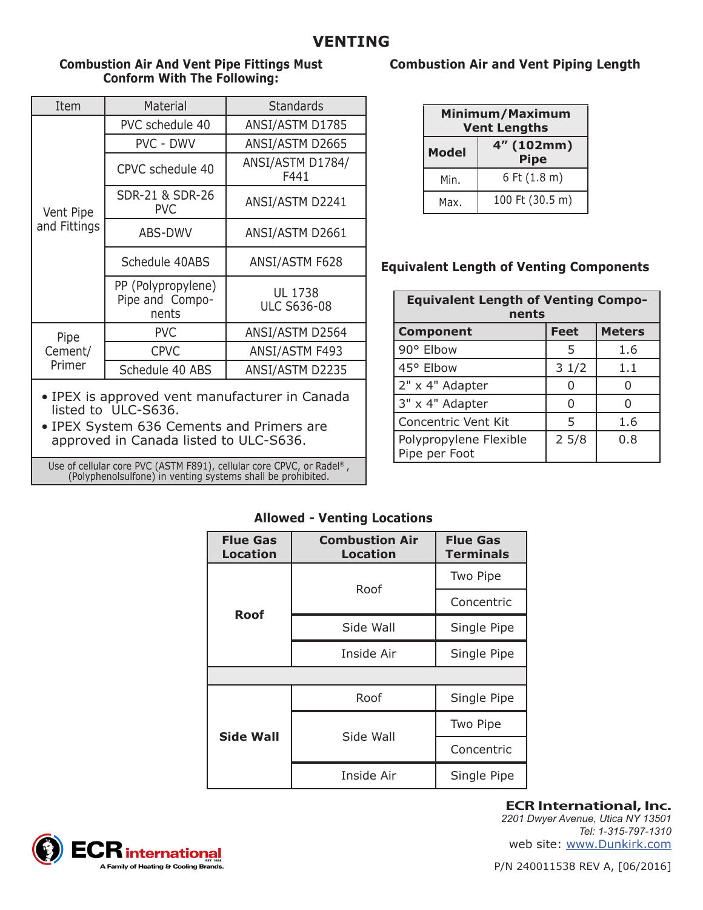### **Combustion Air And Vent Pipe Fittings Must Conform With The Following:**

| Item                      | Material                                       | <b>Standards</b>              |
|---------------------------|------------------------------------------------|-------------------------------|
| Vent Pipe<br>and Fittings | PVC schedule 40                                | ANSI/ASTM D1785               |
|                           | <b>PVC - DWV</b>                               | ANSI/ASTM D2665               |
|                           | CPVC schedule 40                               | ANSI/ASTM D1784/<br>F441      |
|                           | SDR-21 & SDR-26<br><b>PVC</b>                  | ANSI/ASTM D2241               |
|                           | ABS-DWV                                        | ANSI/ASTM D2661               |
|                           | Schedule 40ABS                                 | ANSI/ASTM F628                |
|                           | PP (Polypropylene)<br>Pipe and Compo-<br>nents | UL 1738<br><b>ULC S636-08</b> |
| Pipe<br>Cement/<br>Primer | <b>PVC</b>                                     | ANSI/ASTM D2564               |
|                           | <b>CPVC</b>                                    | ANSI/ASTM F493                |
|                           | Schedule 40 ABS                                | ANSI/ASTM D2235               |

- IPEX is approved vent manufacturer in Canada listed to ULC-S636.
- IPEX System 636 Cements and Primers are approved in Canada listed to ULC-S636.

Use of cellular core PVC (ASTM F891), cellular core CPVC, or Radel® , (Polyphenolsulfone) in venting systems shall be prohibited.

## **Combustion Air and Vent Piping Length**

| Minimum/Maximum<br><b>Vent Lengths</b> |                           |  |
|----------------------------------------|---------------------------|--|
| <b>Model</b>                           | 4" (102mm)<br><b>Pipe</b> |  |
| Min.                                   | 6 Ft (1.8 m)              |  |
| Max.                                   | 100 Ft (30.5 m)           |  |

# **Equivalent Length of Venting Components**

| <b>Equivalent Length of Venting Compo-</b><br>nents |             |               |  |
|-----------------------------------------------------|-------------|---------------|--|
| <b>Component</b>                                    | <b>Feet</b> | <b>Meters</b> |  |
| 90° Elbow                                           | 5           | 1.6           |  |
| 45° Elbow                                           | 31/2        | 1.1           |  |
| 2" x 4" Adapter                                     |             |               |  |
| 3" x 4" Adapter                                     | O           |               |  |
| Concentric Vent Kit                                 | 5           | 1.6           |  |
| Polypropylene Flexible<br>Pipe per Foot             | 25/8        | 0.8           |  |

## **Allowed - Venting Locations**

| <b>Flue Gas</b><br><b>Location</b> | <b>Combustion Air</b><br>Location | <b>Flue Gas</b><br><b>Terminals</b> |
|------------------------------------|-----------------------------------|-------------------------------------|
| Roof                               | Roof                              | Two Pipe                            |
|                                    |                                   | Concentric                          |
|                                    | Side Wall                         | Single Pipe                         |
|                                    | Inside Air                        | Single Pipe                         |
|                                    |                                   |                                     |
| <b>Side Wall</b>                   | Roof                              | Single Pipe                         |
|                                    | Side Wall                         | Two Pipe                            |
|                                    |                                   | Concentric                          |
|                                    | Inside Air                        | Single Pipe                         |



**ECR International, Inc.** *2201 Dwyer Avenue, Utica NY 13501*

*Tel: 1-315-797-1310* web site: www.Dunkirk.com